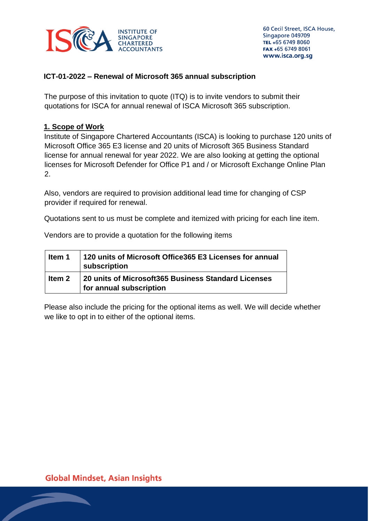

### **ICT-01-2022 – Renewal of Microsoft 365 annual subscription**

The purpose of this invitation to quote (ITQ) is to invite vendors to submit their quotations for ISCA for annual renewal of ISCA Microsoft 365 subscription.

### **1. Scope of Work**

Institute of Singapore Chartered Accountants (ISCA) is looking to purchase 120 units of Microsoft Office 365 E3 license and 20 units of Microsoft 365 Business Standard license for annual renewal for year 2022. We are also looking at getting the optional licenses for Microsoft Defender for Office P1 and / or Microsoft Exchange Online Plan 2.

Also, vendors are required to provision additional lead time for changing of CSP provider if required for renewal.

Quotations sent to us must be complete and itemized with pricing for each line item.

Vendors are to provide a quotation for the following items

| ltem 1 | 120 units of Microsoft Office365 E3 Licenses for annual<br>subscription        |
|--------|--------------------------------------------------------------------------------|
| ltem 2 | 20 units of Microsoft365 Business Standard Licenses<br>for annual subscription |

Please also include the pricing for the optional items as well. We will decide whether we like to opt in to either of the optional items.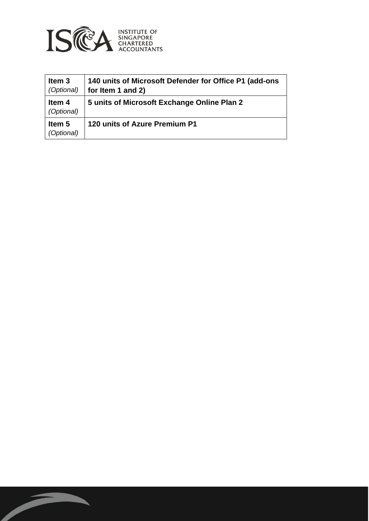

| Item <sub>3</sub><br>(Optional) | 140 units of Microsoft Defender for Office P1 (add-ons<br>for Item 1 and 2) |
|---------------------------------|-----------------------------------------------------------------------------|
| Item 4<br>(Optional)            | 5 units of Microsoft Exchange Online Plan 2                                 |
| Item 5<br>(Optional)            | 120 units of Azure Premium P1                                               |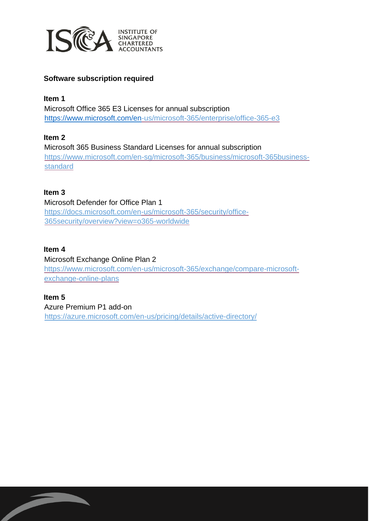

# **Software subscription required**

**Item 1**  Microsoft Office 365 E3 Licenses for annual subscription <https://www.microsoft.com/en>[-us/microsoft-365/enterprise/office-365-e3](https://www.microsoft.com/en-us/microsoft-365/enterprise/office-365-e3)

### **Item 2**

Microsoft 365 Business Standard Licenses for annual subscription [https://www.microsoft.com/en-sg/microsoft-365/business/microsoft-365business](https://www.microsoft.com/en-sg/microsoft-365/business/microsoft-365-business-standard)[standard](https://www.microsoft.com/en-sg/microsoft-365/business/microsoft-365-business-standard)

### **Item 3**

Microsoft Defender for Office Plan 1 <https://docs.microsoft.com/en>[-us/microsoft-365/security/office-](https://docs.microsoft.com/en-us/microsoft-365/security/office-365-security/overview?view=o365-worldwide)[365security/overview?view=o365-worldwide](https://docs.microsoft.com/en-us/microsoft-365/security/office-365-security/overview?view=o365-worldwide)

### **Item 4**

Microsoft Exchange Online Plan 2 [https://www.microsoft.com/en-us/microsoft-365/exchange/compare-microsoft](https://www.microsoft.com/en-us/microsoft-365/exchange/compare-microsoft-exchange-online-plans)[exchange-online-plans](https://www.microsoft.com/en-us/microsoft-365/exchange/compare-microsoft-exchange-online-plans)

#### **Item 5**

Azure Premium P1 add-on <https://azure.microsoft.com/en-us/pricing/details/active-directory/>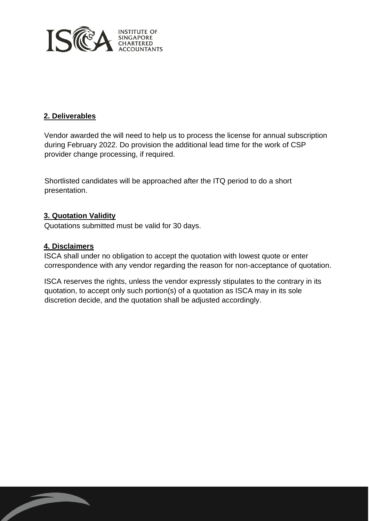

### **2. Deliverables**

Vendor awarded the will need to help us to process the license for annual subscription during February 2022. Do provision the additional lead time for the work of CSP provider change processing, if required.

Shortlisted candidates will be approached after the ITQ period to do a short presentation.

### **3. Quotation Validity**

Quotations submitted must be valid for 30 days.

### **4. Disclaimers**

ISCA shall under no obligation to accept the quotation with lowest quote or enter correspondence with any vendor regarding the reason for non-acceptance of quotation.

ISCA reserves the rights, unless the vendor expressly stipulates to the contrary in its quotation, to accept only such portion(s) of a quotation as ISCA may in its sole discretion decide, and the quotation shall be adjusted accordingly.